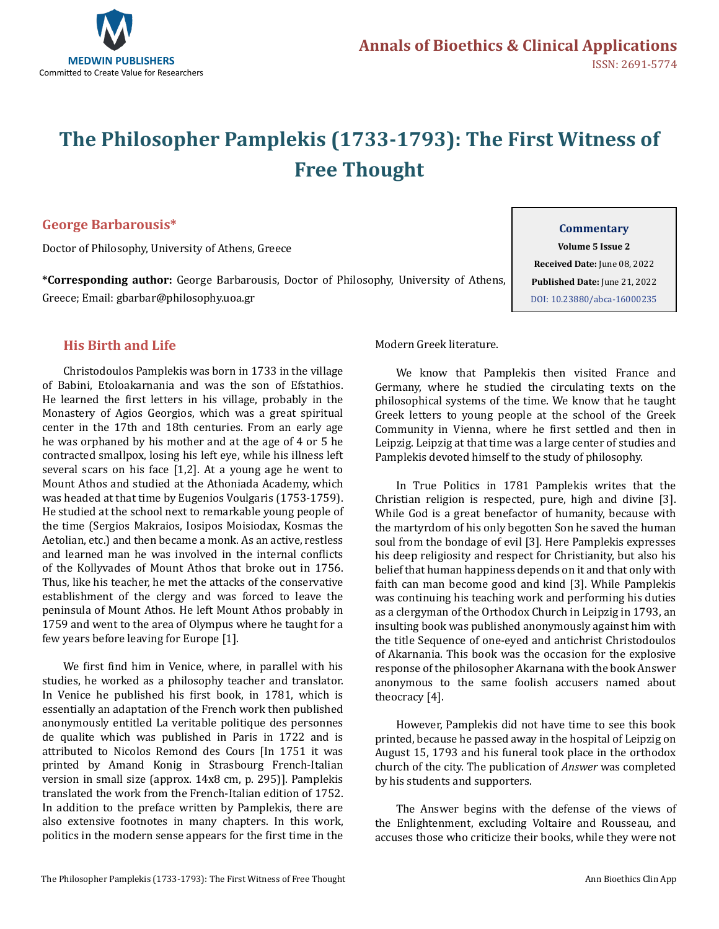

# **The Philosopher Pamplekis (1733-1793): The First Witness of Free Thought**

### **George Barbarousis\***

Doctor of Philosophy, University of Athens, Greece

**\*Corresponding author:** George Barbarousis, Doctor of Philosophy, University of Athens, Greece; Email: gbarbar@philosophy.uoa.gr

#### **Commentary**

**Volume 5 Issue 2 Received Date:** June 08, 2022 **Published Date:** June 21, 2022 [DOI: 10.23880/abca-16000235](https://doi.org/10.23880/abca-16000235)

## **His Birth and Life**

Christodoulos Pamplekis was born in 1733 in the village of Babini, Etoloakarnania and was the son of Efstathios. He learned the first letters in his village, probably in the Monastery of Agios Georgios, which was a great spiritual center in the 17th and 18th centuries. From an early age he was orphaned by his mother and at the age of 4 or 5 he contracted smallpox, losing his left eye, while his illness left several scars on his face [1,2]. At a young age he went to Mount Athos and studied at the Athoniada Academy, which was headed at that time by Eugenios Voulgaris (1753-1759). He studied at the school next to remarkable young people of the time (Sergios Makraios, Iosipos Moisiodax, Kosmas the Aetolian, etc.) and then became a monk. As an active, restless and learned man he was involved in the internal conflicts of the Kollyvades of Mount Athos that broke out in 1756. Thus, like his teacher, he met the attacks of the conservative establishment of the clergy and was forced to leave the peninsula of Mount Athos. He left Mount Athos probably in 1759 and went to the area of Olympus where he taught for a few years before leaving for Europe [1].

We first find him in Venice, where, in parallel with his studies, he worked as a philosophy teacher and translator. In Venice he published his first book, in 1781, which is essentially an adaptation of the French work then published anonymously entitled La veritable politique des personnes de qualite which was published in Paris in 1722 and is attributed to Nicolos Remond des Cours [In 1751 it was printed by Amand Konig in Strasbourg French-Italian version in small size (approx. 14x8 cm, p. 295)]. Pamplekis translated the work from the French-Italian edition of 1752. In addition to the preface written by Pamplekis, there are also extensive footnotes in many chapters. In this work, politics in the modern sense appears for the first time in the Modern Greek literature.

We know that Pamplekis then visited France and Germany, where he studied the circulating texts on the philosophical systems of the time. We know that he taught Greek letters to young people at the school of the Greek Community in Vienna, where he first settled and then in Leipzig. Leipzig at that time was a large center of studies and Pamplekis devoted himself to the study of philosophy.

In True Politics in 1781 Pamplekis writes that the Christian religion is respected, pure, high and divine [3]. While God is a great benefactor of humanity, because with the martyrdom of his only begotten Son he saved the human soul from the bondage of evil [3]. Here Pamplekis expresses his deep religiosity and respect for Christianity, but also his belief that human happiness depends on it and that only with faith can man become good and kind [3]. While Pamplekis was continuing his teaching work and performing his duties as a clergyman of the Orthodox Church in Leipzig in 1793, an insulting book was published anonymously against him with the title Sequence of one-eyed and antichrist Christodoulos of Akarnania. This book was the occasion for the explosive response of the philosopher Akarnana with the book Answer anonymous to the same foolish accusers named about theocracy [4].

However, Pamplekis did not have time to see this book printed, because he passed away in the hospital of Leipzig on August 15, 1793 and his funeral took place in the orthodox church of the city. The publication of *Answer* was completed by his students and supporters.

The Answer begins with the defense of the views of the Enlightenment, excluding Voltaire and Rousseau, and accuses those who criticize their books, while they were not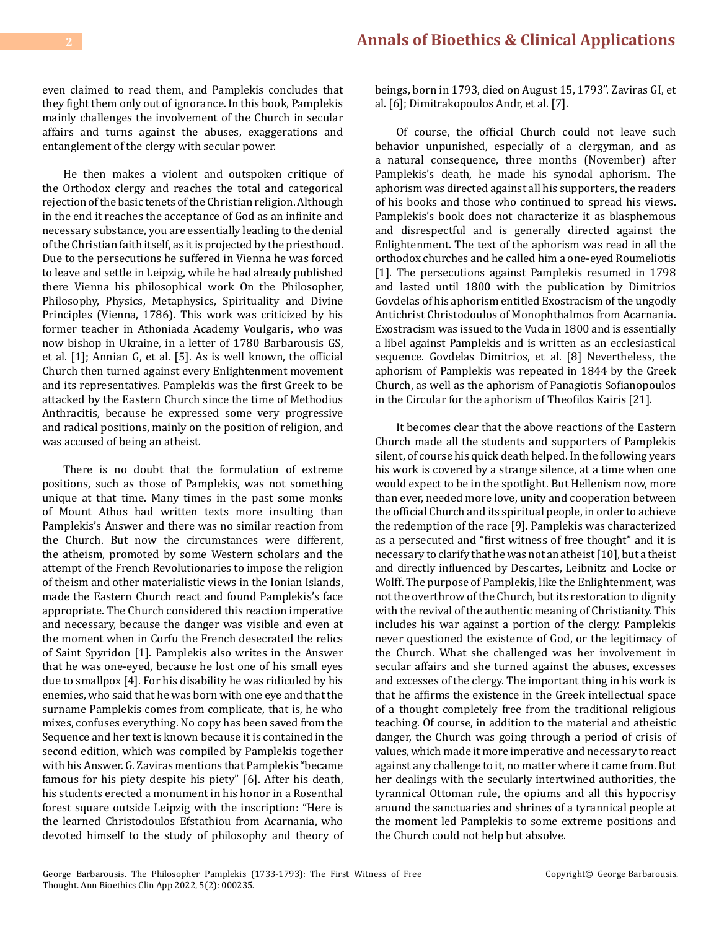even claimed to read them, and Pamplekis concludes that they fight them only out of ignorance. In this book, Pamplekis mainly challenges the involvement of the Church in secular affairs and turns against the abuses, exaggerations and entanglement of the clergy with secular power.

He then makes a violent and outspoken critique of the Orthodox clergy and reaches the total and categorical rejection of the basic tenets of the Christian religion. Although in the end it reaches the acceptance of God as an infinite and necessary substance, you are essentially leading to the denial of the Christian faith itself, as it is projected by the priesthood. Due to the persecutions he suffered in Vienna he was forced to leave and settle in Leipzig, while he had already published there Vienna his philosophical work On the Philosopher, Philosophy, Physics, Metaphysics, Spirituality and Divine Principles (Vienna, 1786). This work was criticized by his former teacher in Athoniada Academy Voulgaris, who was now bishop in Ukraine, in a letter of 1780 Barbarousis GS, et al. [1]; Annian G, et al. [5]. As is well known, the official Church then turned against every Enlightenment movement and its representatives. Pamplekis was the first Greek to be attacked by the Eastern Church since the time of Methodius Anthracitis, because he expressed some very progressive and radical positions, mainly on the position of religion, and was accused of being an atheist.

There is no doubt that the formulation of extreme positions, such as those of Pamplekis, was not something unique at that time. Many times in the past some monks of Mount Athos had written texts more insulting than Pamplekis's Answer and there was no similar reaction from the Church. But now the circumstances were different, the atheism, promoted by some Western scholars and the attempt of the French Revolutionaries to impose the religion of theism and other materialistic views in the Ionian Islands, made the Eastern Church react and found Pamplekis's face appropriate. The Church considered this reaction imperative and necessary, because the danger was visible and even at the moment when in Corfu the French desecrated the relics of Saint Spyridon [1]. Pamplekis also writes in the Answer that he was one-eyed, because he lost one of his small eyes due to smallpox [4]. For his disability he was ridiculed by his enemies, who said that he was born with one eye and that the surname Pamplekis comes from complicate, that is, he who mixes, confuses everything. No copy has been saved from the Sequence and her text is known because it is contained in the second edition, which was compiled by Pamplekis together with his Answer. G. Zaviras mentions that Pamplekis "became famous for his piety despite his piety" [6]. After his death, his students erected a monument in his honor in a Rosenthal forest square outside Leipzig with the inscription: "Here is the learned Christodoulos Efstathiou from Acarnania, who devoted himself to the study of philosophy and theory of beings, born in 1793, died on August 15, 1793". Zaviras GI, et al. [6]; Dimitrakopoulos Andr, et al. [7].

Of course, the official Church could not leave such behavior unpunished, especially of a clergyman, and as a natural consequence, three months (November) after Pamplekis's death, he made his synodal aphorism. The aphorism was directed against all his supporters, the readers of his books and those who continued to spread his views. Pamplekis's book does not characterize it as blasphemous and disrespectful and is generally directed against the Enlightenment. The text of the aphorism was read in all the orthodox churches and he called him a one-eyed Roumeliotis [1]. The persecutions against Pamplekis resumed in 1798 and lasted until 1800 with the publication by Dimitrios Govdelas of his aphorism entitled Exostracism of the ungodly Antichrist Christodoulos of Monophthalmos from Acarnania. Exostracism was issued to the Vuda in 1800 and is essentially a libel against Pamplekis and is written as an ecclesiastical sequence. Govdelas Dimitrios, et al. [8] Nevertheless, the aphorism of Pamplekis was repeated in 1844 by the Greek Church, as well as the aphorism of Panagiotis Sofianopoulos in the Circular for the aphorism of Theofilos Kairis [21].

It becomes clear that the above reactions of the Eastern Church made all the students and supporters of Pamplekis silent, of course his quick death helped. In the following years his work is covered by a strange silence, at a time when one would expect to be in the spotlight. But Hellenism now, more than ever, needed more love, unity and cooperation between the official Church and its spiritual people, in order to achieve the redemption of the race [9]. Pamplekis was characterized as a persecuted and "first witness of free thought" and it is necessary to clarify that he was not an atheist [10], but a theist and directly influenced by Descartes, Leibnitz and Locke or Wolff. The purpose of Pamplekis, like the Enlightenment, was not the overthrow of the Church, but its restoration to dignity with the revival of the authentic meaning of Christianity. This includes his war against a portion of the clergy. Pamplekis never questioned the existence of God, or the legitimacy of the Church. What she challenged was her involvement in secular affairs and she turned against the abuses, excesses and excesses of the clergy. The important thing in his work is that he affirms the existence in the Greek intellectual space of a thought completely free from the traditional religious teaching. Of course, in addition to the material and atheistic danger, the Church was going through a period of crisis of values, which made it more imperative and necessary to react against any challenge to it, no matter where it came from. But her dealings with the secularly intertwined authorities, the tyrannical Ottoman rule, the opiums and all this hypocrisy around the sanctuaries and shrines of a tyrannical people at the moment led Pamplekis to some extreme positions and the Church could not help but absolve.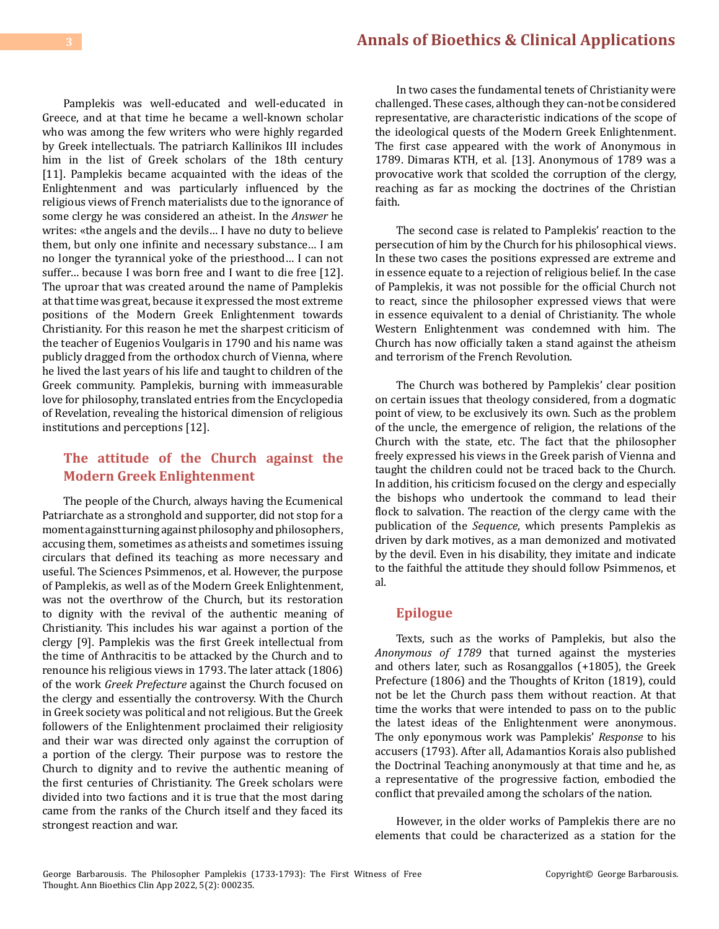Pamplekis was well-educated and well-educated in Greece, and at that time he became a well-known scholar who was among the few writers who were highly regarded by Greek intellectuals. The patriarch Kallinikos III includes him in the list of Greek scholars of the 18th century [11]. Pamplekis became acquainted with the ideas of the Enlightenment and was particularly influenced by the religious views of French materialists due to the ignorance of some clergy he was considered an atheist. In the *Answer* he writes: «the angels and the devils… I have no duty to believe them, but only one infinite and necessary substance… I am no longer the tyrannical yoke of the priesthood… I can not suffer… because I was born free and I want to die free [12]. The uproar that was created around the name of Pamplekis at that time was great, because it expressed the most extreme positions of the Modern Greek Enlightenment towards Christianity. For this reason he met the sharpest criticism of the teacher of Eugenios Voulgaris in 1790 and his name was publicly dragged from the orthodox church of Vienna, where he lived the last years of his life and taught to children of the Greek community. Pamplekis, burning with immeasurable love for philosophy, translated entries from the Encyclopedia of Revelation, revealing the historical dimension of religious institutions and perceptions [12].

## **The attitude of the Church against the Modern Greek Enlightenment**

The people of the Church, always having the Ecumenical Patriarchate as a stronghold and supporter, did not stop for a moment against turning against philosophy and philosophers, accusing them, sometimes as atheists and sometimes issuing circulars that defined its teaching as more necessary and useful. The Sciences Psimmenos, et al. However, the purpose of Pamplekis, as well as of the Modern Greek Enlightenment, was not the overthrow of the Church, but its restoration to dignity with the revival of the authentic meaning of Christianity. This includes his war against a portion of the clergy [9]. Pamplekis was the first Greek intellectual from the time of Anthracitis to be attacked by the Church and to renounce his religious views in 1793. The later attack (1806) of the work *Greek Prefecture* against the Church focused on the clergy and essentially the controversy. With the Church in Greek society was political and not religious. But the Greek followers of the Enlightenment proclaimed their religiosity and their war was directed only against the corruption of a portion of the clergy. Their purpose was to restore the Church to dignity and to revive the authentic meaning of the first centuries of Christianity. The Greek scholars were divided into two factions and it is true that the most daring came from the ranks of the Church itself and they faced its strongest reaction and war.

In two cases the fundamental tenets of Christianity were challenged. These cases, although they can-not be considered representative, are characteristic indications of the scope of the ideological quests of the Modern Greek Enlightenment. The first case appeared with the work of Anonymous in 1789. Dimaras KTH, et al. [13]. Anonymous of 1789 was a provocative work that scolded the corruption of the clergy, reaching as far as mocking the doctrines of the Christian faith.

The second case is related to Pamplekis' reaction to the persecution of him by the Church for his philosophical views. In these two cases the positions expressed are extreme and in essence equate to a rejection of religious belief. In the case of Pamplekis, it was not possible for the official Church not to react, since the philosopher expressed views that were in essence equivalent to a denial of Christianity. The whole Western Enlightenment was condemned with him. The Church has now officially taken a stand against the atheism and terrorism of the French Revolution.

The Church was bothered by Pamplekis' clear position on certain issues that theology considered, from a dogmatic point of view, to be exclusively its own. Such as the problem of the uncle, the emergence of religion, the relations of the Church with the state, etc. The fact that the philosopher freely expressed his views in the Greek parish of Vienna and taught the children could not be traced back to the Church. In addition, his criticism focused on the clergy and especially the bishops who undertook the command to lead their flock to salvation. The reaction of the clergy came with the publication of the *Sequence*, which presents Pamplekis as driven by dark motives, as a man demonized and motivated by the devil. Even in his disability, they imitate and indicate to the faithful the attitude they should follow Psimmenos, et al.

#### **Epilogue**

Texts, such as the works of Pamplekis, but also the *Anonymous of 1789* that turned against the mysteries and others later, such as Rosanggallos (+1805), the Greek Prefecture (1806) and the Thoughts of Kriton (1819), could not be let the Church pass them without reaction. At that time the works that were intended to pass on to the public the latest ideas of the Enlightenment were anonymous. The only eponymous work was Pamplekis' *Response* to his accusers (1793). After all, Adamantios Korais also published the Doctrinal Teaching anonymously at that time and he, as a representative of the progressive faction, embodied the conflict that prevailed among the scholars of the nation.

However, in the older works of Pamplekis there are no elements that could be characterized as a station for the